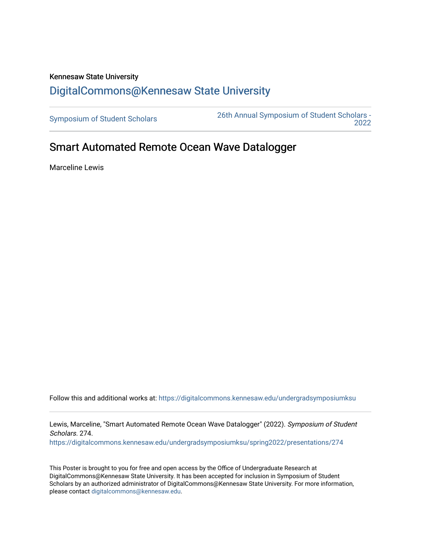## Kennesaw State University [DigitalCommons@Kennesaw State University](https://digitalcommons.kennesaw.edu/)

[Symposium of Student Scholars](https://digitalcommons.kennesaw.edu/undergradsymposiumksu) [26th Annual Symposium of Student Scholars -](https://digitalcommons.kennesaw.edu/undergradsymposiumksu/spring2022)  [2022](https://digitalcommons.kennesaw.edu/undergradsymposiumksu/spring2022) 

## Smart Automated Remote Ocean Wave Datalogger

Marceline Lewis

Follow this and additional works at: [https://digitalcommons.kennesaw.edu/undergradsymposiumksu](https://digitalcommons.kennesaw.edu/undergradsymposiumksu?utm_source=digitalcommons.kennesaw.edu%2Fundergradsymposiumksu%2Fspring2022%2Fpresentations%2F274&utm_medium=PDF&utm_campaign=PDFCoverPages) 

Lewis, Marceline, "Smart Automated Remote Ocean Wave Datalogger" (2022). Symposium of Student Scholars. 274.

[https://digitalcommons.kennesaw.edu/undergradsymposiumksu/spring2022/presentations/274](https://digitalcommons.kennesaw.edu/undergradsymposiumksu/spring2022/presentations/274?utm_source=digitalcommons.kennesaw.edu%2Fundergradsymposiumksu%2Fspring2022%2Fpresentations%2F274&utm_medium=PDF&utm_campaign=PDFCoverPages)

This Poster is brought to you for free and open access by the Office of Undergraduate Research at DigitalCommons@Kennesaw State University. It has been accepted for inclusion in Symposium of Student Scholars by an authorized administrator of DigitalCommons@Kennesaw State University. For more information, please contact [digitalcommons@kennesaw.edu.](mailto:digitalcommons@kennesaw.edu)